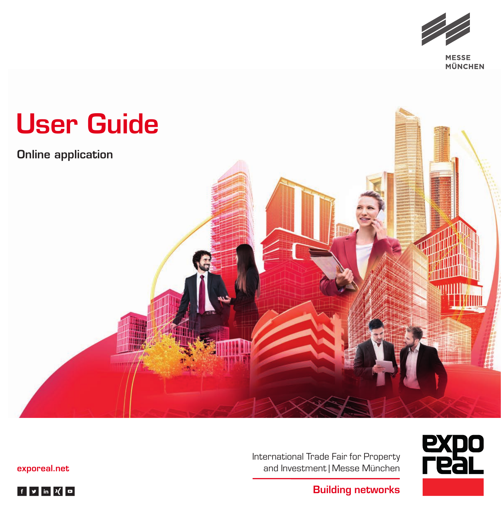

MÜNCHEN



expo<br>real International Trade Fair for Property and Investment | Messe München

[exporeal.net](https://www.exporeal.net/#)

 $f \times \ln(X)$ 

**Building networks**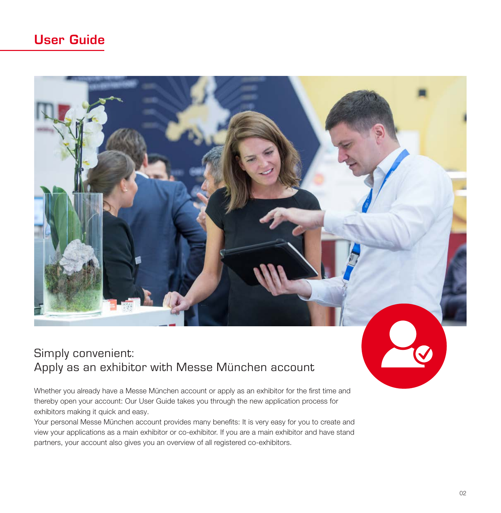## User Guide

## Simply convenient: Apply as an exhibitor with Messe München account

Whether you already have a Messe München account or apply as an exhibitor for the first time and thereby open your account: Our User Guide takes you through the new application process for exhibitors making it quick and easy.

Your personal Messe München account provides many benefits: It is very easy for you to create and view your applications as a main exhibitor or co-exhibitor. If you are a main exhibitor and have stand partners, your account also gives you an overview of all registered co-exhibitors.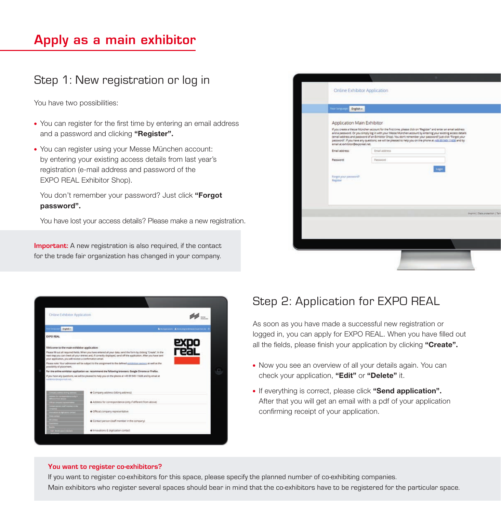# Apply as a main exhibitor

### Step 1: New registration or log in

You have two possibilities:

- You can register for the first time by entering an email address and a password and clicking "Register".
- You can register using your Messe München account: by entering your existing access details from last year's registration (e-mail address and password of the EXPO REAL Exhibitor Shop).

You don't remember your password? Just click "Forgot password".

You have lost your access details? Please make a new registration.

**Important:** A new registration is also required, if the contact for the trade fair organization has changed in your company.

| <b>Online Exhibitor Application</b>                            |                                                                                                                                                                                                                                                                                                                                                                                                                                                                  |                                   |
|----------------------------------------------------------------|------------------------------------------------------------------------------------------------------------------------------------------------------------------------------------------------------------------------------------------------------------------------------------------------------------------------------------------------------------------------------------------------------------------------------------------------------------------|-----------------------------------|
| <b>Your language</b><br>English +                              |                                                                                                                                                                                                                                                                                                                                                                                                                                                                  |                                   |
| Application Main Exhibitor<br>email at exhibitor@exporeal.net. | If you create a Messe München account for the first time, please click on "Register" and enter an email address<br>and a password. Or you simply log in with your Messe München account by entering your existing access details<br>(email address and password of an Exhibitor Shop), You don't remember your password? Just click "Forgot your<br>password". If you have any questions, we will be pleased to help you on the phone at +49.89.949-11605 and by |                                   |
| Email address:<br>Password:                                    | Email address.<br>Password                                                                                                                                                                                                                                                                                                                                                                                                                                       |                                   |
| Forgot your painword?<br>Register                              |                                                                                                                                                                                                                                                                                                                                                                                                                                                                  | Logic                             |
|                                                                |                                                                                                                                                                                                                                                                                                                                                                                                                                                                  |                                   |
|                                                                |                                                                                                                                                                                                                                                                                                                                                                                                                                                                  | Imprint   Data protection   Tarin |
|                                                                |                                                                                                                                                                                                                                                                                                                                                                                                                                                                  |                                   |
|                                                                |                                                                                                                                                                                                                                                                                                                                                                                                                                                                  |                                   |

| Online Exhibitor Application |                                                                                                       |                                                                                                                                                                                                                                             |                                                     |  |
|------------------------------|-------------------------------------------------------------------------------------------------------|---------------------------------------------------------------------------------------------------------------------------------------------------------------------------------------------------------------------------------------------|-----------------------------------------------------|--|
|                              | <b>Digitals</b>                                                                                       |                                                                                                                                                                                                                                             | <b>&amp;</b> Hyaponese Altera expressore comments C |  |
| <b>EXPO REAL</b>             |                                                                                                       |                                                                                                                                                                                                                                             |                                                     |  |
|                              | Welcome to the main exhibitor application<br>your application, you will receive a confirmation email. | Please fill out all required fields. When you have entered all your data, send the form by clicking "Create", in the<br>next step you can check all your entries and, if correctly displayed, send off the application. After you have sent | expo<br>real                                        |  |
| possibility of placement.    |                                                                                                       | Please note: Your admission will be subject to the assignment to the defined minibision sectors as well as the                                                                                                                              |                                                     |  |
|                              |                                                                                                       | For the enline exhibitor application we recommend the following browsers: Google Chrome or Firefox.                                                                                                                                         |                                                     |  |
|                              |                                                                                                       |                                                                                                                                                                                                                                             |                                                     |  |
|                              |                                                                                                       | If you have any questions, we will be pleased to help you on the phone at +49 89 949-11608 and by email at                                                                                                                                  |                                                     |  |
|                              |                                                                                                       | Company address (billing address)                                                                                                                                                                                                           |                                                     |  |
|                              |                                                                                                       | + Address for correspondence jorily if different from above).                                                                                                                                                                               |                                                     |  |
| cubitator@capocaal.com       |                                                                                                       | + Official company representative                                                                                                                                                                                                           |                                                     |  |
|                              |                                                                                                       | + Contact person (staff member in the company)                                                                                                                                                                                              |                                                     |  |

### Step 2: Application for EXPO REAL

As soon as you have made a successful new registration or logged in, you can apply for EXPO REAL. When you have filled out all the fields, please finish your application by clicking "Create".

- Now you see an overview of all your details again. You can check your application, "Edit" or "Delete" it.
- If everything is correct, please click "Send application". After that you will get an email with a pdf of your application confirming receipt of your application.

#### **You want to register co-exhibitors?**

If you want to register co-exhibitors for this space, please specify the planned number of co-exhibiting companies. Main exhibitors who register several spaces should bear in mind that the co-exhibitors have to be registered for the particular space.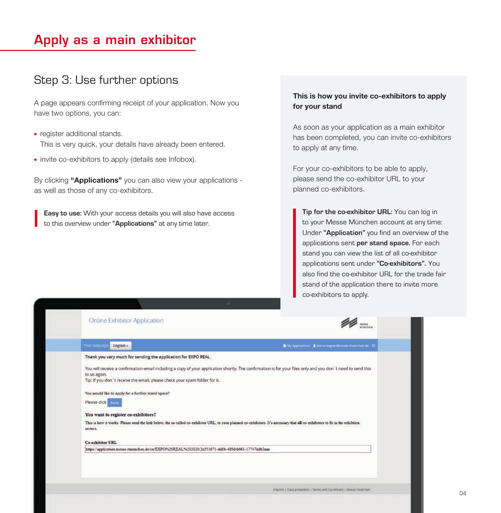## Apply as a main exhibitor

### Step 3: Use further options

A page appears confirming receipt of your application. Now you have two options, you can:

- register additional stands. This is very quick, your details have already been entered.
- invite co-exhibitors to apply (details see Infobox).

By clicking "Applications" you can also view your applications as well as those of any co-exhibitors.

**Easy to use:** With your access details you will also have access to this overview under **"Applications"** at any time later.

### This is how you invite co-exhibitors to apply for your stand

As soon as your application as a main exhibitor has been completed, you can invite co-exhibitors to apply at any time.

For your co-exhibitors to be able to apply, please send the co-exhibitor URL to your planned co-exhibitors.

**Tip for the co-exhibitor URL:** You can log in to your Messe München account at any time: Under **"Application"** you find an overview of the applications sent **per stand space.** For each stand you can view the list of all co-exhibitor applications sent under **"Co-exhibitors".** You also find the co-exhibitor URL for the trade fair stand of the application there to invite more co-exhibitors to apply.

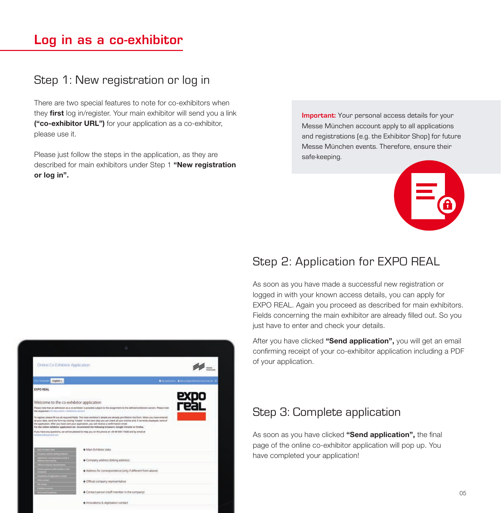## Log in as a co-exhibitor

### Step 1: New registration or log in

There are two special features to note for co-exhibitors when they **first** log in/register. Your main exhibitor will send you a link ("co-exhibitor URL") for your application as a co-exhibitor, please use it.

Please just follow the steps in the application, as they are described for main exhibitors under Step 1 "New registration or log in".

**Important:** Your personal access details for your Messe München account apply to all applications and registrations (e.g. the Exhibitor Shop) for future Messe München events. Therefore, ensure their safe-keeping.



## Step 2: Application for EXPO REAL

As soon as you have made a successful new registration or logged in with your known access details, you can apply for EXPO REAL. Again you proceed as described for main exhibitors. Fields concerning the main exhibitor are already filled out. So you just have to enter and check your details.

After you have clicked "Send application", you will get an email confirming receipt of your co-exhibitor application including a PDF of your application.

## Step 3: Complete application

As soon as you have clicked "Send application", the final page of the online co-exhibitor application will pop up. You have completed your application!

|                                                  | Online Co-Exhibitor Application                      |                                                                                                                                                                                                                                                                                                                                                                                                                                                                                           |                                                    |  |
|--------------------------------------------------|------------------------------------------------------|-------------------------------------------------------------------------------------------------------------------------------------------------------------------------------------------------------------------------------------------------------------------------------------------------------------------------------------------------------------------------------------------------------------------------------------------------------------------------------------------|----------------------------------------------------|--|
| in tax                                           | frigish -                                            |                                                                                                                                                                                                                                                                                                                                                                                                                                                                                           | <b>N</b> Nicholmann<br>Altera importanea murchetik |  |
| <b>EXPO REAL</b>                                 |                                                      |                                                                                                                                                                                                                                                                                                                                                                                                                                                                                           |                                                    |  |
|                                                  |                                                      | Welcome to the co-exhibitor application                                                                                                                                                                                                                                                                                                                                                                                                                                                   |                                                    |  |
|                                                  | the respective initializations I exhibition sectors. | Please note that an admission as a co-exhibitor is possible subject to the assignment to the defined exhibition sectors. Please note                                                                                                                                                                                                                                                                                                                                                      |                                                    |  |
|                                                  |                                                      | To register please fill out all required fields. The main exhibitor's details are already pre-filled in the form. When you have entered<br>all your data, send the form by cicking "Create". In the next step you can check all your entries and, if correctly draplayed, send of<br>the application. After you have sent your application, you will receive a confirmation email.<br>For the online exhibitor application we recommend the following browsers: Google Chrome or Firefox. |                                                    |  |
|                                                  |                                                      |                                                                                                                                                                                                                                                                                                                                                                                                                                                                                           |                                                    |  |
| meltidischer Minispolarizuel Inser<br>הגיסות היה |                                                      | if you have any questions, we will be pleased to help you on the phone at +49 99 949-1560B and by email at                                                                                                                                                                                                                                                                                                                                                                                |                                                    |  |
|                                                  |                                                      | + Man-Exhibitor data                                                                                                                                                                                                                                                                                                                                                                                                                                                                      |                                                    |  |
|                                                  |                                                      | + Company address (billing address)                                                                                                                                                                                                                                                                                                                                                                                                                                                       |                                                    |  |
|                                                  |                                                      | + Address for correspondence (only if different from above)                                                                                                                                                                                                                                                                                                                                                                                                                               |                                                    |  |